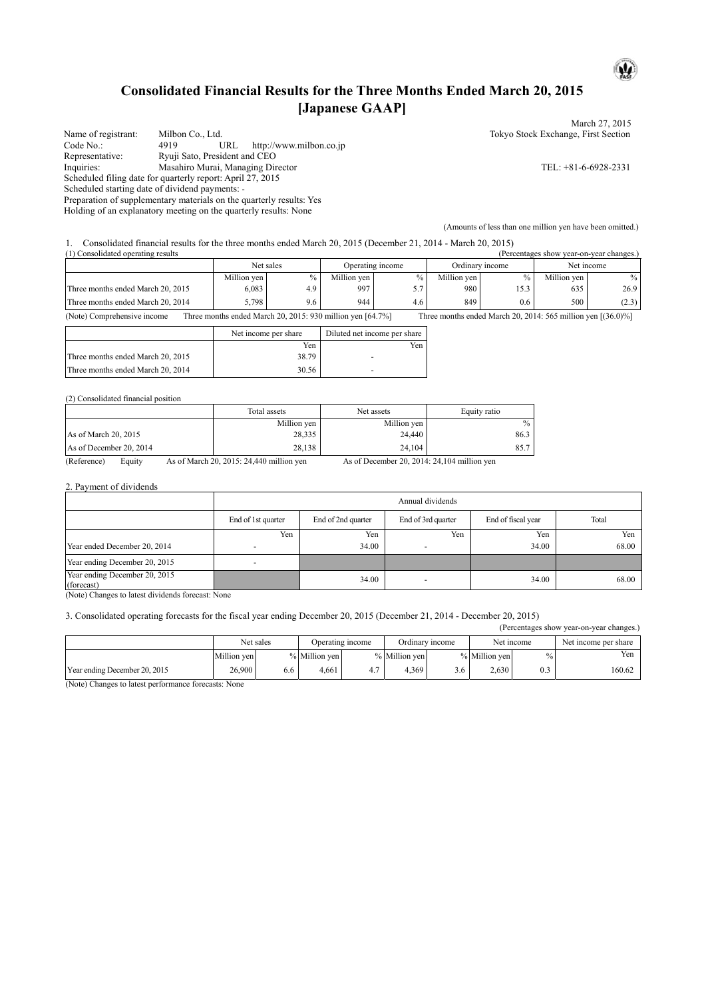# **Consolidated Financial Results for the Three Months Ended March 20, 2015 [Japanese GAAP]**

March 27, 2015 Name of registrant: Milbon Co., Ltd. Tokyo Stock Exchange, First Section<br>
Code No.: 4919 URL http://www.milbon.co.jp Code No.: 4919 URL http://www.milbon.co.jp<br>
Representative: Ryuji Sato, President and CEO Representative: Ryuji Sato, President and CEO<br>Inquiries: Masahiro Murai, Managing Dir Masahiro Murai, Managing Director TEL: +81-6-6928-2331 Scheduled filing date for quarterly report: April 27, 2015 Scheduled starting date of dividend payments: - Preparation of supplementary materials on the quarterly results: Yes Holding of an explanatory meeting on the quarterly results: None

1. Consolidated financial results for the three months ended March 20, 2015 (December 21, 2014 - March 20, 2015)

| (1) Consolidated operating results<br>(Percentages show year-on-year changes.)                                                                               |             |      |                  |      |                 |      |             |       |
|--------------------------------------------------------------------------------------------------------------------------------------------------------------|-------------|------|------------------|------|-----------------|------|-------------|-------|
|                                                                                                                                                              | Net sales   |      | Operating income |      | Ordinary income |      | Net income  |       |
|                                                                                                                                                              | Million yen | $\%$ | Million yen      | $\%$ | Million yen     |      | Million ven | $\%$  |
| Three months ended March 20, 2015                                                                                                                            | 6,083       | 4.9  | 997              | 57   | 980             | 15.3 | 635         | 26.9  |
| Three months ended March 20, 2014                                                                                                                            | 5.798       | 9.6  | 944              | 4.6  | 849             | 0.6  | 500         | (2.3) |
| (Note) Comprehensive income<br>Three months ended March 20, 2015: 930 million yen [64.7%]<br>Three months ended March 20, 2014: 565 million yen $[(36.0)\%]$ |             |      |                  |      |                 |      |             |       |

|                                   | Net income per share | Diluted net income per share |
|-----------------------------------|----------------------|------------------------------|
|                                   | Yen                  | Yen                          |
| Three months ended March 20, 2015 | 38.79                |                              |
| Three months ended March 20, 2014 | 30.56                | -                            |

(2) Consolidated financial position

|                         | Total assets | Net assets  | Equity ratio |
|-------------------------|--------------|-------------|--------------|
|                         | Million yen  | Million yen | $\%$         |
| As of March 20, 2015    | 28,335       | 24.440      | 86.3         |
| As of December 20, 2014 | 28,138       | 24.104      | 85.7         |

(Reference) Equity As of March 20, 2015: 24,440 million yen As of December 20, 2014: 24,104 million yen

2. Payment of dividends

|                                             | Annual dividends         |                    |                    |                    |       |  |  |  |
|---------------------------------------------|--------------------------|--------------------|--------------------|--------------------|-------|--|--|--|
|                                             | End of 1st quarter       | End of 2nd quarter | End of 3rd quarter | End of fiscal year | Total |  |  |  |
|                                             | Yen                      | Yen                | Yen                | Yen                | Yen   |  |  |  |
| Year ended December 20, 2014                |                          | 34.00              |                    | 34.00              | 68.00 |  |  |  |
| Year ending December 20, 2015               | $\overline{\phantom{a}}$ |                    |                    |                    |       |  |  |  |
| Year ending December 20, 2015<br>(forecast) |                          | 34.00              |                    | 34.00              | 68.00 |  |  |  |

(Note) Changes to latest dividends forecast: None

3. Consolidated operating forecasts for the fiscal year ending December 20, 2015 (December 21, 2014 - December 20, 2015)

(Percentages show year-on-year changes.)

(Amounts of less than one million yen have been omitted.)

 $\mathbf{\omega}$ 

|                               | Net sales   |     | Operating income |     | Ordinary income |     | Net income    |     | Net income per share |
|-------------------------------|-------------|-----|------------------|-----|-----------------|-----|---------------|-----|----------------------|
|                               | Million ven |     | $\%$ Million yen |     | % Million yen   |     | % Million yen |     | Yen                  |
| Year ending December 20, 2015 | 26,900      | 0.0 | 4.661            | 4.7 | 4.369           | 3.6 | 2.630         | 0.3 | 160.62               |

(Note) Changes to latest performance forecasts: None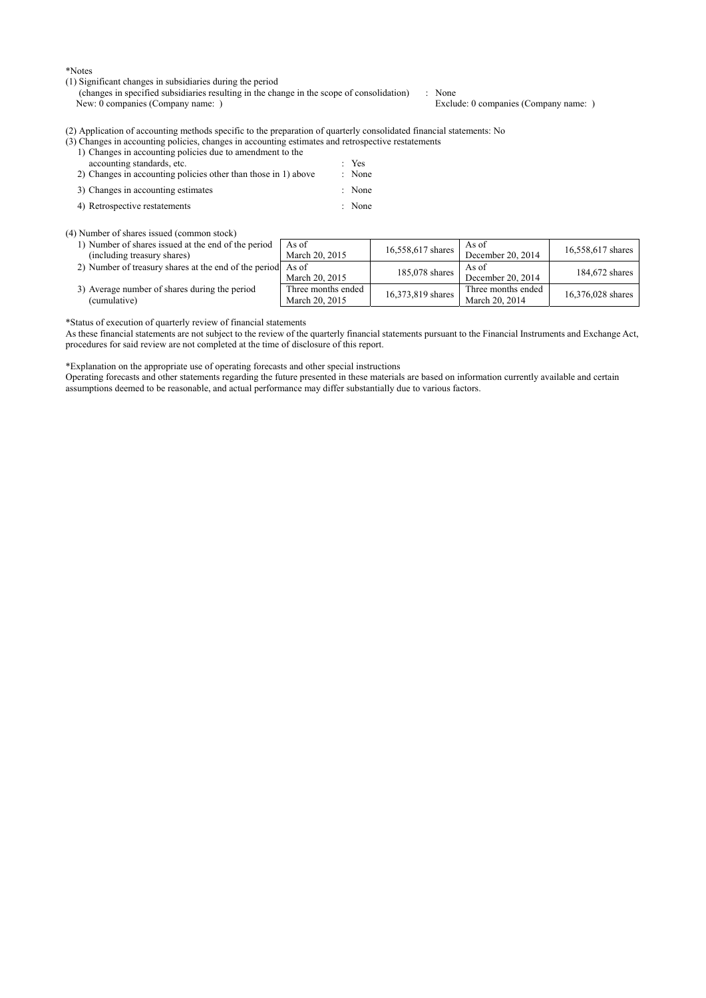\*Notes

(1) Significant changes in subsidiaries during the period

(changes in specified subsidiaries resulting in the change in the scope of consolidation) : None<br>New: 0 companies (Company name: ) Exclu

Exclude: 0 companies (Company name: )

(2) Application of accounting methods specific to the preparation of quarterly consolidated financial statements: No

|               |                                                                  |  |  |  |        | (3) Changes in accounting policies, changes in accounting estimates and retrospective restatements |  |
|---------------|------------------------------------------------------------------|--|--|--|--------|----------------------------------------------------------------------------------------------------|--|
|               | 1) Changes in accounting policies due to amendment to the        |  |  |  |        |                                                                                                    |  |
|               | accounting standards, etc.                                       |  |  |  | $Y$ es |                                                                                                    |  |
| $\sim$ $\sim$ | 그 그는 그 사람들은 그 사람들을 지금 모르는 것을 하고 있다. 그 사람들은 그 사람들은 그 사람들을 지금 말했다. |  |  |  |        |                                                                                                    |  |

| 2) Changes in accounting policies other than those in 1) above | : None |
|----------------------------------------------------------------|--------|
| 3) Changes in accounting estimates                             | : None |

4) Retrospective restatements : None

(4) Number of shares issued (common stock)

| 1) Number of shares issued at the end of the period<br>(including treasury shares) | As of<br>March 20, 2015              | 16,558,617 shares | As of<br>December 20, 2014           | 16,558,617 shares |
|------------------------------------------------------------------------------------|--------------------------------------|-------------------|--------------------------------------|-------------------|
| 2) Number of treasury shares at the end of the period As of                        | March 20, 2015                       | 185,078 shares    | As of<br>December 20, 2014           | 184.672 shares    |
| 3) Average number of shares during the period<br>(cumulative)                      | Three months ended<br>March 20, 2015 | 16,373,819 shares | Three months ended<br>March 20, 2014 | 16,376,028 shares |

\*Status of execution of quarterly review of financial statements

As these financial statements are not subject to the review of the quarterly financial statements pursuant to the Financial Instruments and Exchange Act, procedures for said review are not completed at the time of disclosure of this report.

\*Explanation on the appropriate use of operating forecasts and other special instructions

Operating forecasts and other statements regarding the future presented in these materials are based on information currently available and certain assumptions deemed to be reasonable, and actual performance may differ substantially due to various factors.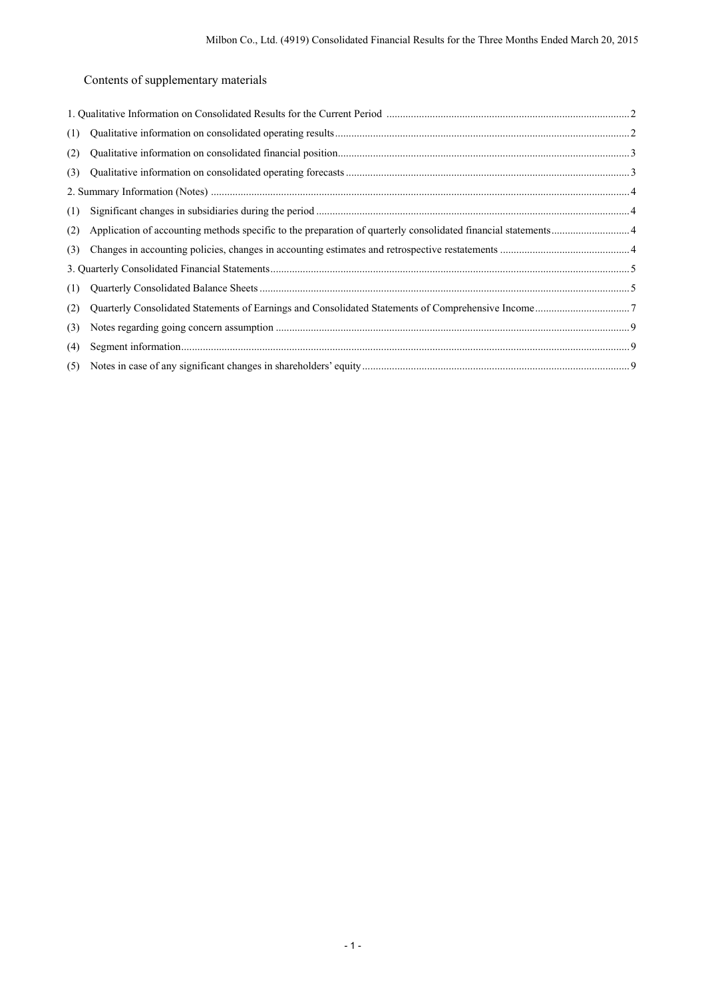Contents of supplementary materials

| (1) |  |
|-----|--|
| (2) |  |
| (3) |  |
|     |  |
| (1) |  |
| (2) |  |
| (3) |  |
|     |  |
| (1) |  |
| (2) |  |
| (3) |  |
| (4) |  |
|     |  |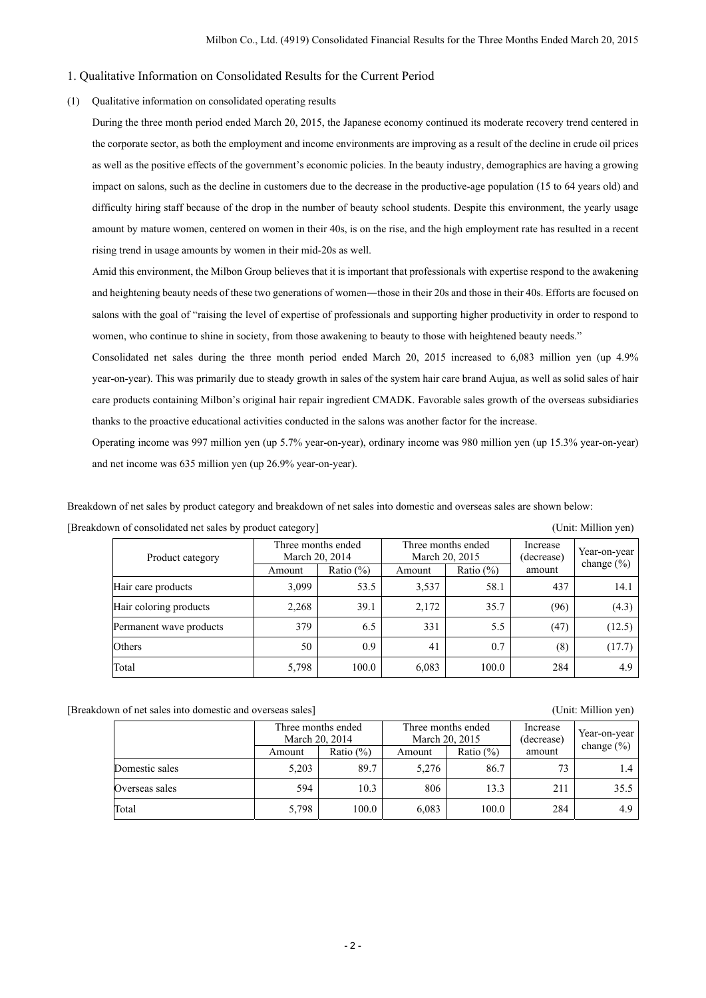## 1. Qualitative Information on Consolidated Results for the Current Period

## (1) Qualitative information on consolidated operating results

During the three month period ended March 20, 2015, the Japanese economy continued its moderate recovery trend centered in the corporate sector, as both the employment and income environments are improving as a result of the decline in crude oil prices as well as the positive effects of the government's economic policies. In the beauty industry, demographics are having a growing impact on salons, such as the decline in customers due to the decrease in the productive-age population (15 to 64 years old) and difficulty hiring staff because of the drop in the number of beauty school students. Despite this environment, the yearly usage amount by mature women, centered on women in their 40s, is on the rise, and the high employment rate has resulted in a recent rising trend in usage amounts by women in their mid-20s as well.

Amid this environment, the Milbon Group believes that it is important that professionals with expertise respond to the awakening and heightening beauty needs of these two generations of women―those in their 20s and those in their 40s. Efforts are focused on salons with the goal of "raising the level of expertise of professionals and supporting higher productivity in order to respond to women, who continue to shine in society, from those awakening to beauty to those with heightened beauty needs."

Consolidated net sales during the three month period ended March 20, 2015 increased to 6,083 million yen (up 4.9% year-on-year). This was primarily due to steady growth in sales of the system hair care brand Aujua, as well as solid sales of hair care products containing Milbon's original hair repair ingredient CMADK. Favorable sales growth of the overseas subsidiaries thanks to the proactive educational activities conducted in the salons was another factor for the increase.

Operating income was 997 million yen (up 5.7% year-on-year), ordinary income was 980 million yen (up 15.3% year-on-year) and net income was 635 million yen (up 26.9% year-on-year).

Breakdown of net sales by product category and breakdown of net sales into domestic and overseas sales are shown below:

| [Breakdown of consolidated net sales by product category] |                                                                                                                                                                                                                                                                                                                                                                            | (Unit: Million yen) |
|-----------------------------------------------------------|----------------------------------------------------------------------------------------------------------------------------------------------------------------------------------------------------------------------------------------------------------------------------------------------------------------------------------------------------------------------------|---------------------|
|                                                           | $\mathbf{T}^{\bullet}$ , and a set of $\mathbf{I}^{\bullet}$ , $\mathbf{I}^{\bullet}$ , $\mathbf{I}^{\bullet}$ , $\mathbf{I}^{\bullet}$ , $\mathbf{I}^{\bullet}$ , $\mathbf{I}^{\bullet}$ , $\mathbf{I}^{\bullet}$ , $\mathbf{I}^{\bullet}$ , $\mathbf{I}^{\bullet}$ , $\mathbf{I}^{\bullet}$ , $\mathbf{I}^{\bullet}$ , $\mathbf{I}^{\bullet}$ , $\mathbf{I}^{\bullet}$ , |                     |

Product category Three months ended March 20, 2014 Three months ended March 20, 2015 Increase (decrease) amount Year-on-year<br>change (%) Amount Ratio (%) Amount Ratio (%) Amount Ratio (%) amount change (%) Hair care products 3,099 53.5 3,537 58.1 437 14.1 Hair coloring products  $\begin{vmatrix} 2,268 & 39.1 & 2,172 & 35.7 & (96) & (4.3) \end{vmatrix}$ Permanent wave products  $\begin{vmatrix} 379 & 6.5 & 331 & 5.5 & (47) & (12.5) \\ 1 & 3 & 3 & 1 & 5.5 & (47) & (41.5) \end{vmatrix}$ Others 19, 17.7 (8) 10.9 (17.7 (8) 10.7 (8) 11.7.7 (8) 10.7 (17.7 (17.7 (17.7 (17.7 (17.7 ) Total 5,798 100.0 6,083 100.0 284 4.9

[Breakdown of net sales into domestic and overseas sales] (Unit: Million yen)

|                | Three months ended<br>March 20, 2014 |               | March 20, 2015 | Three months ended | Increase<br>(decrease) | Year-on-year<br>change $(\% )$ |  |
|----------------|--------------------------------------|---------------|----------------|--------------------|------------------------|--------------------------------|--|
|                | Amount                               | Ratio $(\% )$ | Amount         | Ratio $(\% )$      | amount                 |                                |  |
| Domestic sales | 5.203                                | 89.7          | 5.276          | 86.7               | 73                     | 1.4                            |  |
| Overseas sales | 594                                  | 10.3          | 806            | 13.3               | 211                    | 35.5                           |  |
| Total          | 5,798                                | 100.0         | 6,083          | 100.0              | 284                    | 4.9                            |  |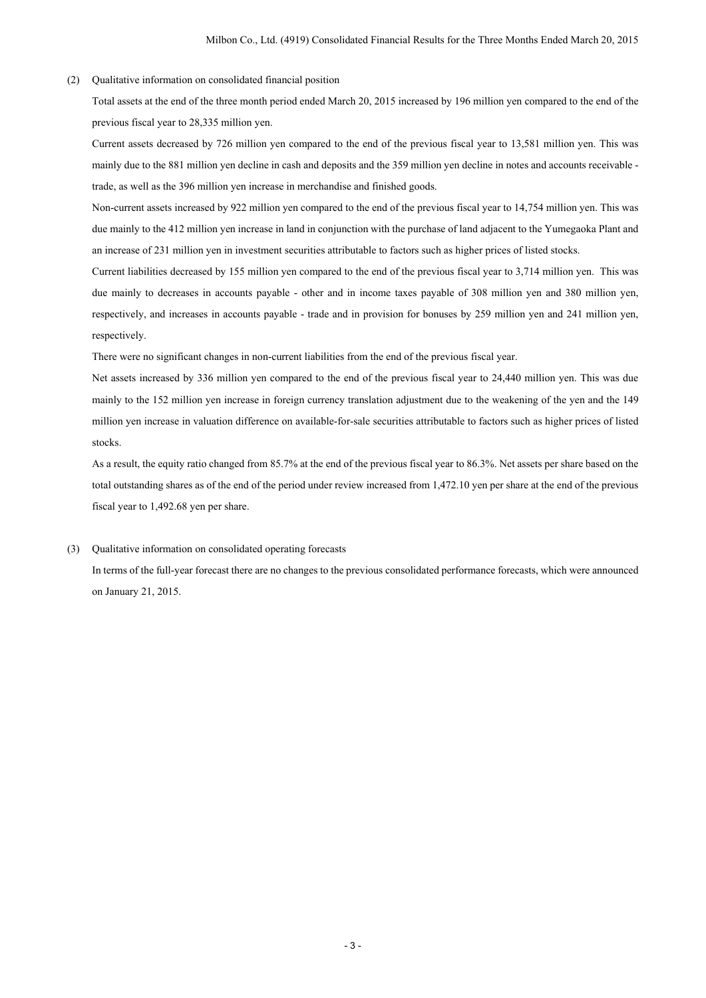#### (2) Qualitative information on consolidated financial position

Total assets at the end of the three month period ended March 20, 2015 increased by 196 million yen compared to the end of the previous fiscal year to 28,335 million yen.

Current assets decreased by 726 million yen compared to the end of the previous fiscal year to 13,581 million yen. This was mainly due to the 881 million yen decline in cash and deposits and the 359 million yen decline in notes and accounts receivable trade, as well as the 396 million yen increase in merchandise and finished goods.

Non-current assets increased by 922 million yen compared to the end of the previous fiscal year to 14,754 million yen. This was due mainly to the 412 million yen increase in land in conjunction with the purchase of land adjacent to the Yumegaoka Plant and an increase of 231 million yen in investment securities attributable to factors such as higher prices of listed stocks.

Current liabilities decreased by 155 million yen compared to the end of the previous fiscal year to 3,714 million yen. This was due mainly to decreases in accounts payable - other and in income taxes payable of 308 million yen and 380 million yen, respectively, and increases in accounts payable - trade and in provision for bonuses by 259 million yen and 241 million yen, respectively.

There were no significant changes in non-current liabilities from the end of the previous fiscal year.

Net assets increased by 336 million yen compared to the end of the previous fiscal year to 24,440 million yen. This was due mainly to the 152 million yen increase in foreign currency translation adjustment due to the weakening of the yen and the 149 million yen increase in valuation difference on available-for-sale securities attributable to factors such as higher prices of listed stocks.

As a result, the equity ratio changed from 85.7% at the end of the previous fiscal year to 86.3%. Net assets per share based on the total outstanding shares as of the end of the period under review increased from 1,472.10 yen per share at the end of the previous fiscal year to 1,492.68 yen per share.

#### (3) Qualitative information on consolidated operating forecasts

In terms of the full-year forecast there are no changes to the previous consolidated performance forecasts, which were announced on January 21, 2015.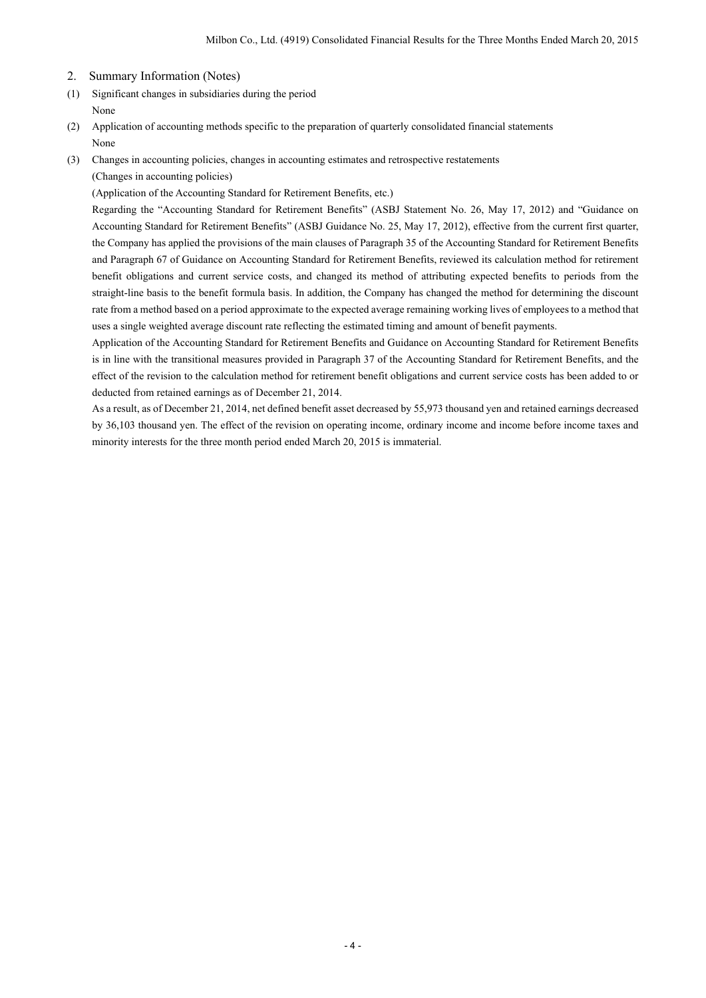- 2. Summary Information (Notes)
- (1) Significant changes in subsidiaries during the period None
- (2) Application of accounting methods specific to the preparation of quarterly consolidated financial statements None
- (3) Changes in accounting policies, changes in accounting estimates and retrospective restatements

(Changes in accounting policies)

(Application of the Accounting Standard for Retirement Benefits, etc.)

Regarding the "Accounting Standard for Retirement Benefits" (ASBJ Statement No. 26, May 17, 2012) and "Guidance on Accounting Standard for Retirement Benefits" (ASBJ Guidance No. 25, May 17, 2012), effective from the current first quarter, the Company has applied the provisions of the main clauses of Paragraph 35 of the Accounting Standard for Retirement Benefits and Paragraph 67 of Guidance on Accounting Standard for Retirement Benefits, reviewed its calculation method for retirement benefit obligations and current service costs, and changed its method of attributing expected benefits to periods from the straight-line basis to the benefit formula basis. In addition, the Company has changed the method for determining the discount rate from a method based on a period approximate to the expected average remaining working lives of employees to a method that uses a single weighted average discount rate reflecting the estimated timing and amount of benefit payments.

Application of the Accounting Standard for Retirement Benefits and Guidance on Accounting Standard for Retirement Benefits is in line with the transitional measures provided in Paragraph 37 of the Accounting Standard for Retirement Benefits, and the effect of the revision to the calculation method for retirement benefit obligations and current service costs has been added to or deducted from retained earnings as of December 21, 2014.

As a result, as of December 21, 2014, net defined benefit asset decreased by 55,973 thousand yen and retained earnings decreased by 36,103 thousand yen. The effect of the revision on operating income, ordinary income and income before income taxes and minority interests for the three month period ended March 20, 2015 is immaterial.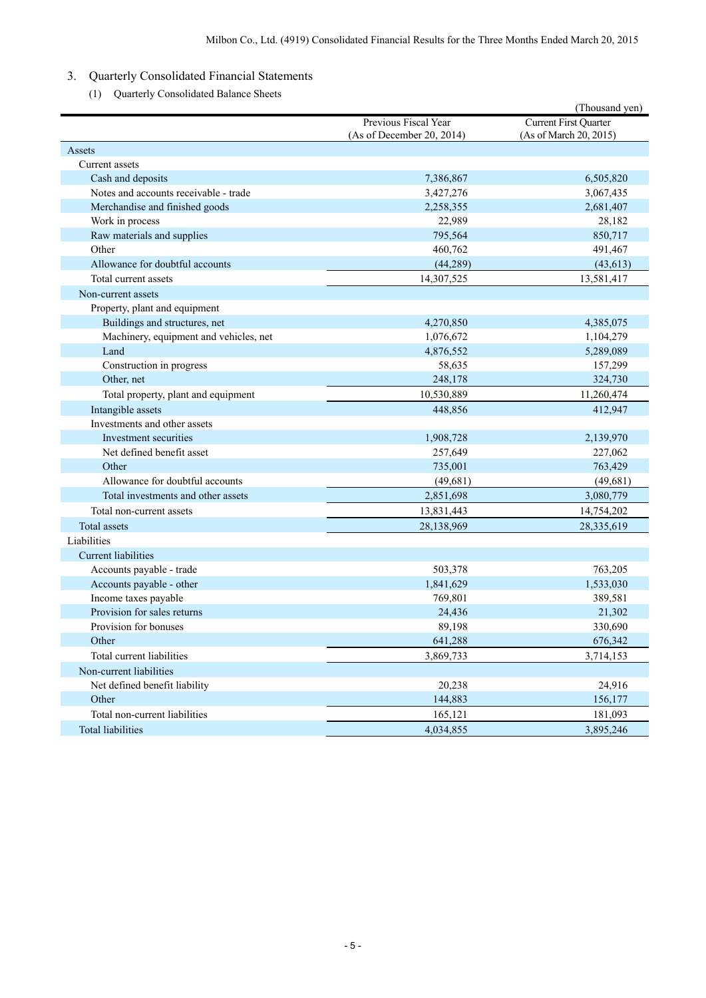- 3. Quarterly Consolidated Financial Statements
	- (1) Quarterly Consolidated Balance Sheets

|                                        |                                                   | (Thousand yen)                                         |
|----------------------------------------|---------------------------------------------------|--------------------------------------------------------|
|                                        | Previous Fiscal Year<br>(As of December 20, 2014) | <b>Current First Quarter</b><br>(As of March 20, 2015) |
| Assets                                 |                                                   |                                                        |
| Current assets                         |                                                   |                                                        |
| Cash and deposits                      | 7,386,867                                         | 6,505,820                                              |
| Notes and accounts receivable - trade  | 3,427,276                                         | 3,067,435                                              |
| Merchandise and finished goods         | 2,258,355                                         | 2,681,407                                              |
| Work in process                        | 22,989                                            | 28,182                                                 |
| Raw materials and supplies             | 795,564                                           | 850,717                                                |
| Other                                  | 460,762                                           | 491,467                                                |
| Allowance for doubtful accounts        | (44, 289)                                         | (43, 613)                                              |
| Total current assets                   | 14,307,525                                        | 13,581,417                                             |
| Non-current assets                     |                                                   |                                                        |
| Property, plant and equipment          |                                                   |                                                        |
| Buildings and structures, net          | 4,270,850                                         | 4,385,075                                              |
| Machinery, equipment and vehicles, net | 1,076,672                                         | 1,104,279                                              |
| Land                                   | 4,876,552                                         | 5,289,089                                              |
| Construction in progress               | 58,635                                            | 157,299                                                |
| Other, net                             | 248,178                                           | 324,730                                                |
| Total property, plant and equipment    | 10,530,889                                        | 11,260,474                                             |
| Intangible assets                      | 448,856                                           | 412,947                                                |
| Investments and other assets           |                                                   |                                                        |
| Investment securities                  | 1,908,728                                         | 2,139,970                                              |
| Net defined benefit asset              | 257,649                                           | 227,062                                                |
| Other                                  | 735,001                                           | 763,429                                                |
| Allowance for doubtful accounts        | (49, 681)                                         | (49,681)                                               |
| Total investments and other assets     | 2,851,698                                         | 3,080,779                                              |
| Total non-current assets               | 13,831,443                                        | 14,754,202                                             |
| <b>Total assets</b>                    | 28,138,969                                        | 28,335,619                                             |
| Liabilities                            |                                                   |                                                        |
| <b>Current liabilities</b>             |                                                   |                                                        |
| Accounts payable - trade               | 503,378                                           | 763,205                                                |
| Accounts payable - other               | 1,841,629                                         | 1,533,030                                              |
| Income taxes payable                   | 769,801                                           | 389,581                                                |
| Provision for sales returns            | 24,436                                            | 21,302                                                 |
| Provision for bonuses                  | 89.198                                            | 330,690                                                |
| Other                                  | 641,288                                           | 676,342                                                |
| Total current liabilities              | 3,869,733                                         | 3,714,153                                              |
| Non-current liabilities                |                                                   |                                                        |
| Net defined benefit liability          | 20,238                                            | 24,916                                                 |
| Other                                  | 144,883                                           | 156,177                                                |
| Total non-current liabilities          | 165,121                                           | 181,093                                                |
| Total liabilities                      | 4,034,855                                         | 3,895,246                                              |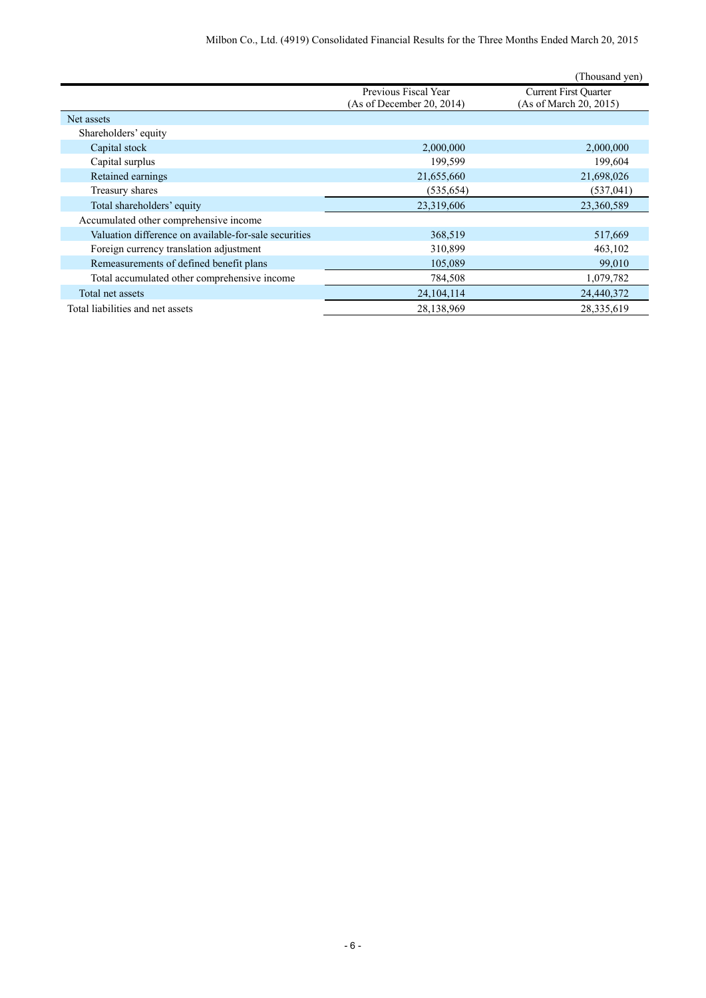|                                                       |                                                   | (Thousand yen)                                         |
|-------------------------------------------------------|---------------------------------------------------|--------------------------------------------------------|
|                                                       | Previous Fiscal Year<br>(As of December 20, 2014) | <b>Current First Quarter</b><br>(As of March 20, 2015) |
| Net assets                                            |                                                   |                                                        |
| Shareholders' equity                                  |                                                   |                                                        |
| Capital stock                                         | 2,000,000                                         | 2,000,000                                              |
| Capital surplus                                       | 199,599                                           | 199,604                                                |
| Retained earnings                                     | 21,655,660                                        | 21,698,026                                             |
| Treasury shares                                       | (535, 654)                                        | (537, 041)                                             |
| Total shareholders' equity                            | 23,319,606                                        | 23,360,589                                             |
| Accumulated other comprehensive income                |                                                   |                                                        |
| Valuation difference on available-for-sale securities | 368,519                                           | 517,669                                                |
| Foreign currency translation adjustment               | 310,899                                           | 463,102                                                |
| Remeasurements of defined benefit plans               | 105,089                                           | 99,010                                                 |
| Total accumulated other comprehensive income          | 784,508                                           | 1,079,782                                              |
| Total net assets                                      | 24, 104, 114                                      | 24,440,372                                             |
| Total liabilities and net assets                      | 28,138,969                                        | 28,335,619                                             |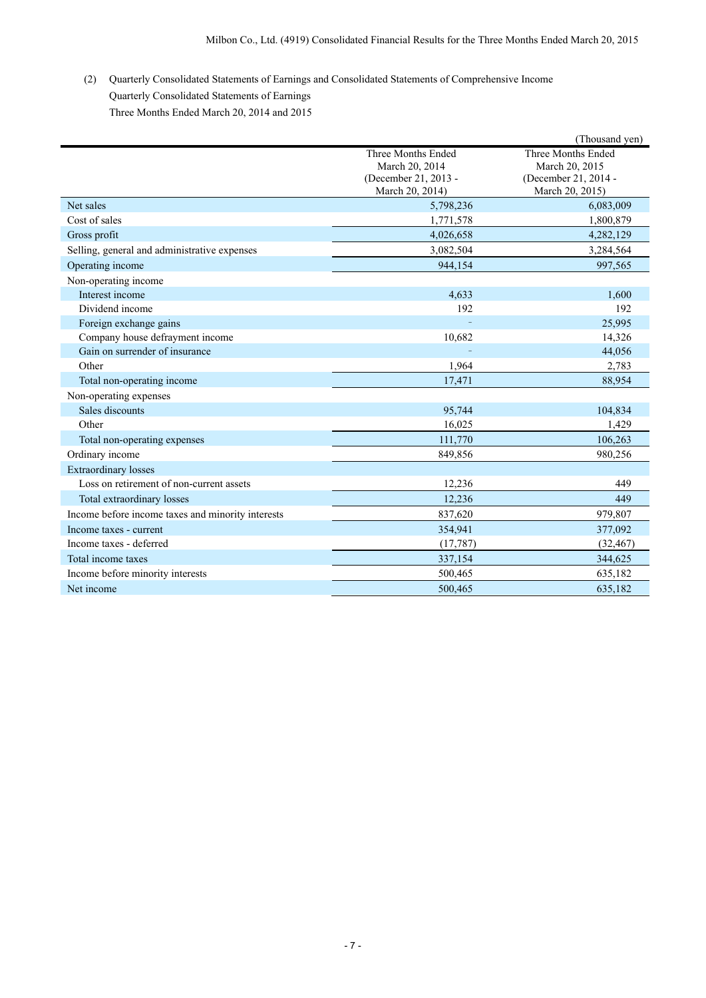(2) Quarterly Consolidated Statements of Earnings and Consolidated Statements of Comprehensive Income Quarterly Consolidated Statements of Earnings Three Months Ended March 20, 2014 and 2015

|                                                   |                                                                                 | (Thousand yen)                                                                  |
|---------------------------------------------------|---------------------------------------------------------------------------------|---------------------------------------------------------------------------------|
|                                                   | Three Months Ended<br>March 20, 2014<br>(December 21, 2013 -<br>March 20, 2014) | Three Months Ended<br>March 20, 2015<br>(December 21, 2014 -<br>March 20, 2015) |
| Net sales                                         | 5,798,236                                                                       | 6,083,009                                                                       |
| Cost of sales                                     | 1,771,578                                                                       | 1,800,879                                                                       |
| Gross profit                                      | 4,026,658                                                                       | 4,282,129                                                                       |
| Selling, general and administrative expenses      | 3,082,504                                                                       | 3,284,564                                                                       |
| Operating income                                  | 944,154                                                                         | 997,565                                                                         |
| Non-operating income                              |                                                                                 |                                                                                 |
| Interest income                                   | 4.633                                                                           | 1,600                                                                           |
| Dividend income                                   | 192                                                                             | 192                                                                             |
| Foreign exchange gains                            |                                                                                 | 25,995                                                                          |
| Company house defrayment income                   | 10,682                                                                          | 14,326                                                                          |
| Gain on surrender of insurance                    |                                                                                 | 44,056                                                                          |
| Other                                             | 1,964                                                                           | 2,783                                                                           |
| Total non-operating income                        | 17,471                                                                          | 88,954                                                                          |
| Non-operating expenses                            |                                                                                 |                                                                                 |
| Sales discounts                                   | 95,744                                                                          | 104,834                                                                         |
| Other                                             | 16,025                                                                          | 1,429                                                                           |
| Total non-operating expenses                      | 111,770                                                                         | 106,263                                                                         |
| Ordinary income                                   | 849,856                                                                         | 980,256                                                                         |
| <b>Extraordinary losses</b>                       |                                                                                 |                                                                                 |
| Loss on retirement of non-current assets          | 12,236                                                                          | 449                                                                             |
| Total extraordinary losses                        | 12,236                                                                          | 449                                                                             |
| Income before income taxes and minority interests | 837,620                                                                         | 979,807                                                                         |
| Income taxes - current                            | 354,941                                                                         | 377,092                                                                         |
| Income taxes - deferred                           | (17, 787)                                                                       | (32, 467)                                                                       |
| Total income taxes                                | 337,154                                                                         | 344,625                                                                         |
| Income before minority interests                  | 500,465                                                                         | 635,182                                                                         |
| Net income                                        | 500.465                                                                         | 635.182                                                                         |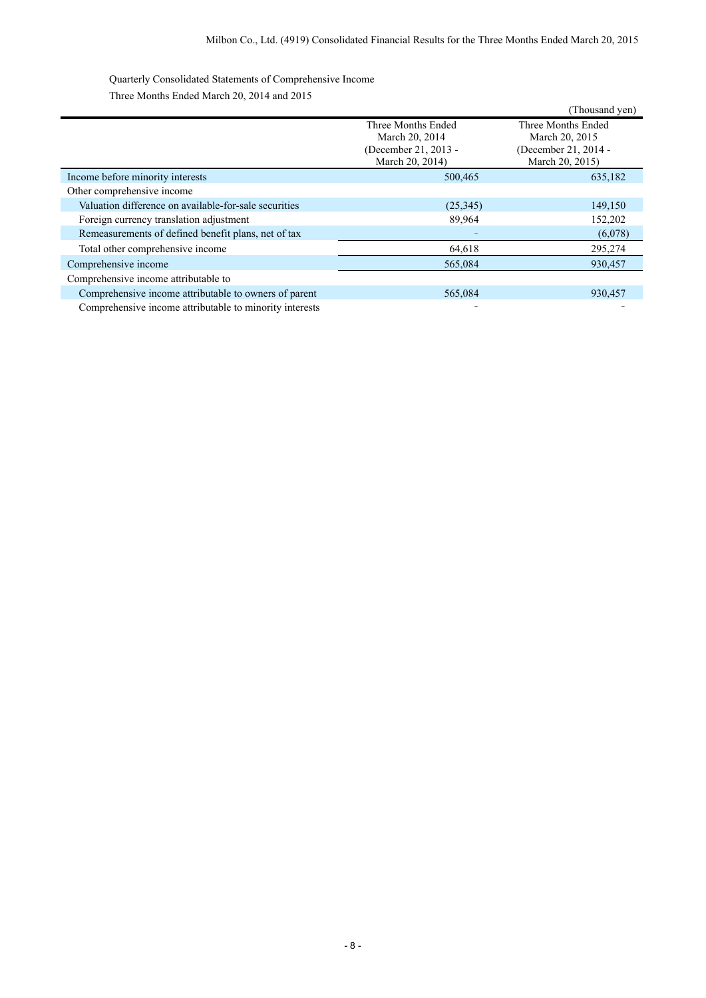Quarterly Consolidated Statements of Comprehensive Income Three Months Ended March 20, 2014 and 2015

|                                                         |                      | (Thousand yen)       |
|---------------------------------------------------------|----------------------|----------------------|
|                                                         | Three Months Ended   | Three Months Ended   |
|                                                         | March 20, 2014       | March 20, 2015       |
|                                                         | (December 21, 2013 - | (December 21, 2014 - |
|                                                         | March 20, 2014)      | March 20, 2015)      |
| Income before minority interests                        | 500,465              | 635,182              |
| Other comprehensive income                              |                      |                      |
| Valuation difference on available-for-sale securities   | (25,345)             | 149,150              |
| Foreign currency translation adjustment                 | 89,964               | 152,202              |
| Remeasurements of defined benefit plans, net of tax     |                      | (6,078)              |
| Total other comprehensive income                        | 64,618               | 295,274              |
| Comprehensive income                                    | 565,084              | 930,457              |
| Comprehensive income attributable to                    |                      |                      |
| Comprehensive income attributable to owners of parent   | 565,084              | 930,457              |
| Comprehensive income attributable to minority interests |                      |                      |